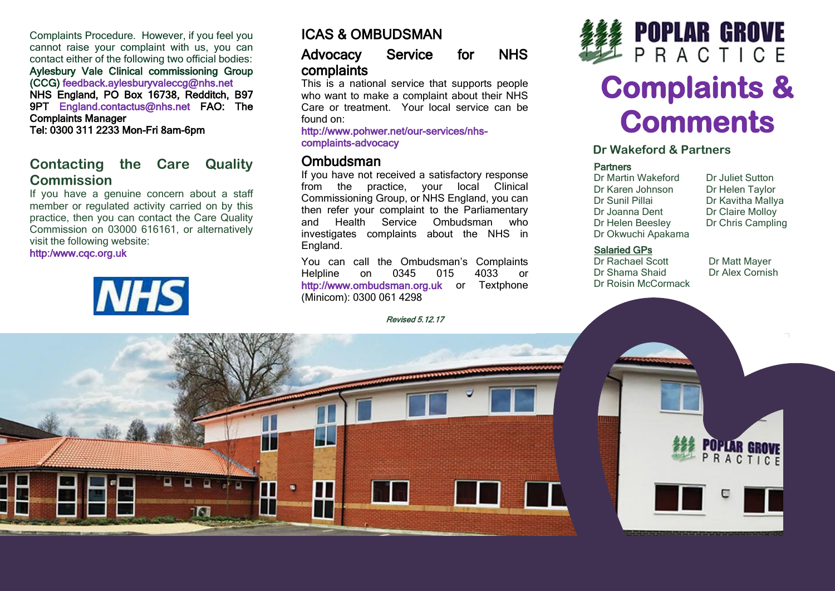Complaints Procedure. However, if you feel you cannot raise your complaint with us, you can contact either of the following two official bodies: Aylesbury Vale Clinical commissioning Group (CCG) feedback.aylesburyvaleccg@nhs.net NHS England, PO Box 16738, Redditch, B97 9PT England.contactus@nhs.net FAO: The Complaints Manager Tel: 0300 311 2233 Mon-Fri 8am-6pm

# **Contacting the Care Quality Commission**

If you have a genuine concern about a staff member or regulated activity carried on by this practice, then you can contact the Care Quality Commission on 03000 616161, or alternatively visit the following website:

#### http:/www.cqc.org.uk



# ICAS & OMBUDSMAN

## Advocacy Service for NHS complaints

This is a national service that supports people who want to make a complaint about their NHS Care or treatment. Your local service can be found on:

http://www.pohwer.net/our-services/nhscomplaints-advocacy

## **Ombudsman**

If you have not received a satisfactory response from the practice, your local Clinical Commissioning Group, or NHS England, you can then refer your complaint to the Parliamentary and Health Service Ombudsman who investigates complaints about the NHS in England.

You can call the Ombudsman's Complaints Helpline on 0345 015 4033 or http://www.ombudsman.org.uk or Textphone (Minicom): 0300 061 4298





# **Complaints & Comments**

### **Dr Wakeford & Partners**

#### **Partners**

Dr Martin Wakeford Dr Juliet Sutton<br>Dr Karen Johnson Dr Helen Taylor Dr Karen Johnson Dr Helen Taylor<br>Dr Sunil Pillai Dr Kavitha Mally Dr Joanna Dent<br>Dr Helen Beeslev Dr Okwuchi Apakama

Dr Kavitha Mallya<br>Dr Claire Mollov Dr Chris Campling

#### Salaried GPs

Dr Rachael Scott Dr Matt Mayer<br>
Dr Shama Shaid Dr Alex Cornish Dr Shama Shaid Dr Roisin McCormack